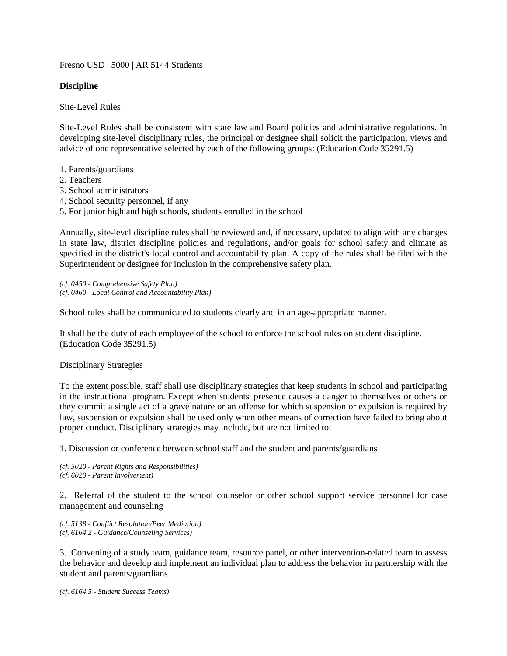Fresno USD | 5000 | AR 5144 Students

## **Discipline**

Site-Level Rules

Site-Level Rules shall be consistent with state law and Board policies and administrative regulations. In developing site-level disciplinary rules, the principal or designee shall solicit the participation, views and advice of one representative selected by each of the following groups: (Education Code 35291.5)

- 1. Parents/guardians
- 2. Teachers
- 3. School administrators
- 4. School security personnel, if any
- 5. For junior high and high schools, students enrolled in the school

Annually, site-level discipline rules shall be reviewed and, if necessary, updated to align with any changes in state law, district discipline policies and regulations, and/or goals for school safety and climate as specified in the district's local control and accountability plan. A copy of the rules shall be filed with the Superintendent or designee for inclusion in the comprehensive safety plan.

*(cf. 0450 - Comprehensive Safety Plan) (cf. 0460 - Local Control and Accountability Plan)*

School rules shall be communicated to students clearly and in an age-appropriate manner.

It shall be the duty of each employee of the school to enforce the school rules on student discipline. (Education Code 35291.5)

## Disciplinary Strategies

To the extent possible, staff shall use disciplinary strategies that keep students in school and participating in the instructional program. Except when students' presence causes a danger to themselves or others or they commit a single act of a grave nature or an offense for which suspension or expulsion is required by law, suspension or expulsion shall be used only when other means of correction have failed to bring about proper conduct. Disciplinary strategies may include, but are not limited to:

1. Discussion or conference between school staff and the student and parents/guardians

*(cf. 5020 - Parent Rights and Responsibilities) (cf. 6020 - Parent Involvement)*

2. Referral of the student to the school counselor or other school support service personnel for case management and counseling

*(cf. 5138 - Conflict Resolution/Peer Mediation) (cf. 6164.2 - Guidance/Counseling Services)*

3. Convening of a study team, guidance team, resource panel, or other intervention-related team to assess the behavior and develop and implement an individual plan to address the behavior in partnership with the student and parents/guardians

*(cf. 6164.5 - Student Success Teams)*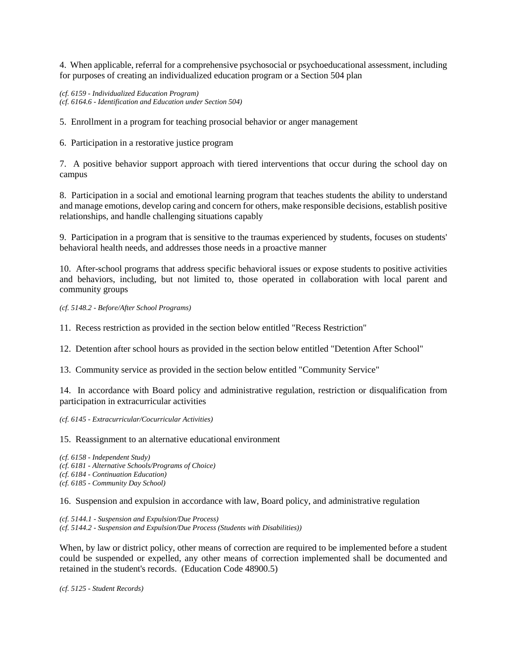4. When applicable, referral for a comprehensive psychosocial or psychoeducational assessment, including for purposes of creating an individualized education program or a Section 504 plan

*(cf. 6159 - Individualized Education Program) (cf. 6164.6 - Identification and Education under Section 504)*

5. Enrollment in a program for teaching prosocial behavior or anger management

6. Participation in a restorative justice program

7. A positive behavior support approach with tiered interventions that occur during the school day on campus

8. Participation in a social and emotional learning program that teaches students the ability to understand and manage emotions, develop caring and concern for others, make responsible decisions, establish positive relationships, and handle challenging situations capably

9. Participation in a program that is sensitive to the traumas experienced by students, focuses on students' behavioral health needs, and addresses those needs in a proactive manner

10. After-school programs that address specific behavioral issues or expose students to positive activities and behaviors, including, but not limited to, those operated in collaboration with local parent and community groups

*(cf. 5148.2 - Before/After School Programs)*

11. Recess restriction as provided in the section below entitled "Recess Restriction"

12. Detention after school hours as provided in the section below entitled "Detention After School"

13. Community service as provided in the section below entitled "Community Service"

14. In accordance with Board policy and administrative regulation, restriction or disqualification from participation in extracurricular activities

*(cf. 6145 - Extracurricular/Cocurricular Activities)*

15. Reassignment to an alternative educational environment

*(cf. 6158 - Independent Study) (cf. 6181 - Alternative Schools/Programs of Choice) (cf. 6184 - Continuation Education) (cf. 6185 - Community Day School)*

16. Suspension and expulsion in accordance with law, Board policy, and administrative regulation

*(cf. 5144.1 - Suspension and Expulsion/Due Process) (cf. 5144.2 - Suspension and Expulsion/Due Process (Students with Disabilities))*

When, by law or district policy, other means of correction are required to be implemented before a student could be suspended or expelled, any other means of correction implemented shall be documented and retained in the student's records. (Education Code 48900.5)

*(cf. 5125 - Student Records)*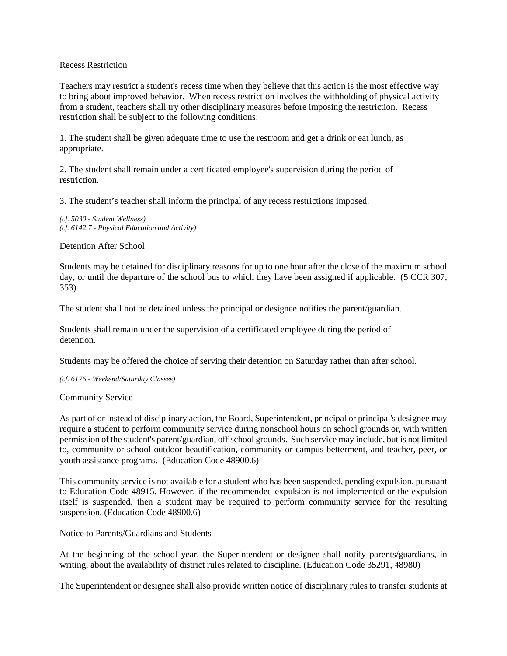## Recess Restriction

Teachers may restrict a student's recess time when they believe that this action is the most effective way to bring about improved behavior. When recess restriction involves the withholding of physical activity from a student, teachers shall try other disciplinary measures before imposing the restriction. Recess restriction shall be subject to the following conditions:

1. The student shall be given adequate time to use the restroom and get a drink or eat lunch, as appropriate.

2. The student shall remain under a certificated employee's supervision during the period of restriction.

3. The student's teacher shall inform the principal of any recess restrictions imposed.

*(cf. 5030 - Student Wellness) (cf. 6142.7 - Physical Education and Activity)*

Detention After School

Students may be detained for disciplinary reasons for up to one hour after the close of the maximum school day, or until the departure of the school bus to which they have been assigned if applicable. (5 CCR 307, 353)

The student shall not be detained unless the principal or designee notifies the parent/guardian.

Students shall remain under the supervision of a certificated employee during the period of detention.

Students may be offered the choice of serving their detention on Saturday rather than after school.

*(cf. 6176 - Weekend/Saturday Classes)*

Community Service

As part of or instead of disciplinary action, the Board, Superintendent, principal or principal's designee may require a student to perform community service during nonschool hours on school grounds or, with written permission of the student's parent/guardian, off school grounds. Such service may include, but is not limited to, community or school outdoor beautification, community or campus betterment, and teacher, peer, or youth assistance programs. (Education Code 48900.6)

This community service is not available for a student who has been suspended, pending expulsion, pursuant to Education Code 48915. However, if the recommended expulsion is not implemented or the expulsion itself is suspended, then a student may be required to perform community service for the resulting suspension. (Education Code 48900.6)

Notice to Parents/Guardians and Students

At the beginning of the school year, the Superintendent or designee shall notify parents/guardians, in writing, about the availability of district rules related to discipline. (Education Code 35291, 48980)

The Superintendent or designee shall also provide written notice of disciplinary rules to transfer students at